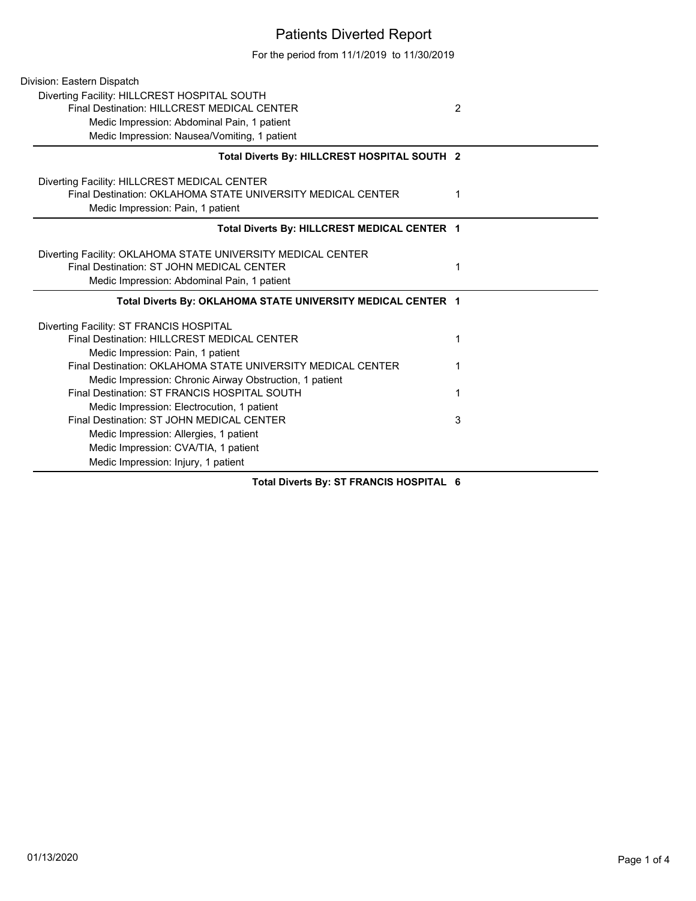## Patients Diverted Report

For the period from 11/1/2019 to 11/30/2019

| Division: Eastern Dispatch                                                                                                                       |                |
|--------------------------------------------------------------------------------------------------------------------------------------------------|----------------|
| Diverting Facility: HILLCREST HOSPITAL SOUTH                                                                                                     |                |
| Final Destination: HILLCREST MEDICAL CENTER                                                                                                      | $\overline{2}$ |
| Medic Impression: Abdominal Pain, 1 patient                                                                                                      |                |
| Medic Impression: Nausea/Vomiting, 1 patient                                                                                                     |                |
| Total Diverts By: HILLCREST HOSPITAL SOUTH 2                                                                                                     |                |
| Diverting Facility: HILLCREST MEDICAL CENTER<br>Final Destination: OKLAHOMA STATE UNIVERSITY MEDICAL CENTER<br>Medic Impression: Pain, 1 patient | 1              |
| Total Diverts By: HILLCREST MEDICAL CENTER 1                                                                                                     |                |
| Diverting Facility: OKLAHOMA STATE UNIVERSITY MEDICAL CENTER                                                                                     |                |
| Final Destination: ST JOHN MEDICAL CENTER                                                                                                        | 1              |
| Medic Impression: Abdominal Pain, 1 patient                                                                                                      |                |
| Total Diverts By: OKLAHOMA STATE UNIVERSITY MEDICAL CENTER 1                                                                                     |                |
| Diverting Facility: ST FRANCIS HOSPITAL                                                                                                          |                |
| Final Destination: HILLCREST MEDICAL CENTER                                                                                                      | 1              |
| Medic Impression: Pain, 1 patient                                                                                                                |                |
| Final Destination: OKLAHOMA STATE UNIVERSITY MEDICAL CENTER                                                                                      |                |
| Medic Impression: Chronic Airway Obstruction, 1 patient                                                                                          |                |
| Final Destination: ST FRANCIS HOSPITAL SOUTH                                                                                                     | 1              |
| Medic Impression: Electrocution, 1 patient                                                                                                       |                |
| Final Destination: ST JOHN MEDICAL CENTER                                                                                                        | 3              |
| Medic Impression: Allergies, 1 patient                                                                                                           |                |
| Medic Impression: CVA/TIA, 1 patient                                                                                                             |                |
| Medic Impression: Injury, 1 patient                                                                                                              |                |
|                                                                                                                                                  |                |

**Total Diverts By: ST FRANCIS HOSPITAL 6**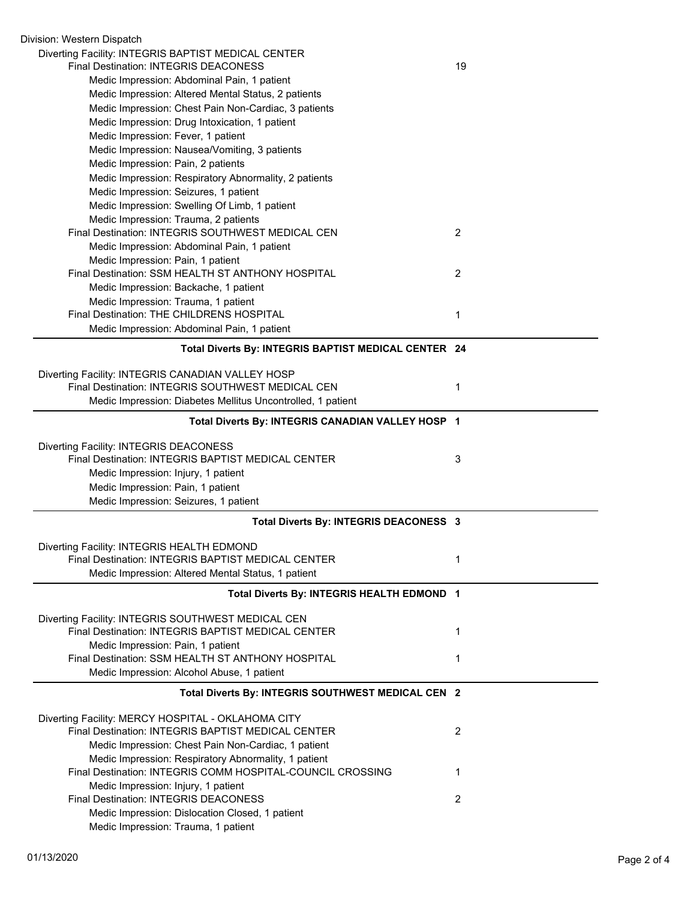| Division: Western Dispatch                                                                   |    |
|----------------------------------------------------------------------------------------------|----|
| Diverting Facility: INTEGRIS BAPTIST MEDICAL CENTER<br>Final Destination: INTEGRIS DEACONESS |    |
|                                                                                              | 19 |
| Medic Impression: Abdominal Pain, 1 patient                                                  |    |
| Medic Impression: Altered Mental Status, 2 patients                                          |    |
| Medic Impression: Chest Pain Non-Cardiac, 3 patients                                         |    |
| Medic Impression: Drug Intoxication, 1 patient                                               |    |
| Medic Impression: Fever, 1 patient                                                           |    |
| Medic Impression: Nausea/Vomiting, 3 patients                                                |    |
| Medic Impression: Pain, 2 patients                                                           |    |
| Medic Impression: Respiratory Abnormality, 2 patients                                        |    |
| Medic Impression: Seizures, 1 patient                                                        |    |
| Medic Impression: Swelling Of Limb, 1 patient                                                |    |
| Medic Impression: Trauma, 2 patients                                                         |    |
| Final Destination: INTEGRIS SOUTHWEST MEDICAL CEN                                            | 2  |
| Medic Impression: Abdominal Pain, 1 patient                                                  |    |
| Medic Impression: Pain, 1 patient                                                            |    |
| Final Destination: SSM HEALTH ST ANTHONY HOSPITAL                                            | 2  |
| Medic Impression: Backache, 1 patient                                                        |    |
| Medic Impression: Trauma, 1 patient                                                          |    |
| Final Destination: THE CHILDRENS HOSPITAL                                                    | 1  |
| Medic Impression: Abdominal Pain, 1 patient                                                  |    |
| Total Diverts By: INTEGRIS BAPTIST MEDICAL CENTER 24                                         |    |
|                                                                                              |    |
| Diverting Facility: INTEGRIS CANADIAN VALLEY HOSP                                            |    |
| Final Destination: INTEGRIS SOUTHWEST MEDICAL CEN                                            | 1  |
| Medic Impression: Diabetes Mellitus Uncontrolled, 1 patient                                  |    |
| Total Diverts By: INTEGRIS CANADIAN VALLEY HOSP 1                                            |    |
| Diverting Facility: INTEGRIS DEACONESS                                                       |    |
| Final Destination: INTEGRIS BAPTIST MEDICAL CENTER                                           | 3  |
| Medic Impression: Injury, 1 patient                                                          |    |
| Medic Impression: Pain, 1 patient                                                            |    |
| Medic Impression: Seizures, 1 patient                                                        |    |
| Total Diverts By: INTEGRIS DEACONESS 3                                                       |    |
|                                                                                              |    |
| Diverting Facility: INTEGRIS HEALTH EDMOND                                                   |    |
| Final Destination: INTEGRIS BAPTIST MEDICAL CENTER                                           | 1  |
| Medic Impression: Altered Mental Status, 1 patient                                           |    |
| Total Diverts By: INTEGRIS HEALTH EDMOND 1                                                   |    |
|                                                                                              |    |
| Diverting Facility: INTEGRIS SOUTHWEST MEDICAL CEN                                           |    |
| Final Destination: INTEGRIS BAPTIST MEDICAL CENTER                                           | 1  |
| Medic Impression: Pain, 1 patient                                                            |    |
| Final Destination: SSM HEALTH ST ANTHONY HOSPITAL                                            | 1  |
| Medic Impression: Alcohol Abuse, 1 patient                                                   |    |
| Total Diverts By: INTEGRIS SOUTHWEST MEDICAL CEN 2                                           |    |
| Diverting Facility: MERCY HOSPITAL - OKLAHOMA CITY                                           |    |
| Final Destination: INTEGRIS BAPTIST MEDICAL CENTER                                           | 2  |
| Medic Impression: Chest Pain Non-Cardiac, 1 patient                                          |    |
| Medic Impression: Respiratory Abnormality, 1 patient                                         |    |
| Final Destination: INTEGRIS COMM HOSPITAL-COUNCIL CROSSING                                   | 1  |
| Medic Impression: Injury, 1 patient                                                          |    |
| <b>Final Destination: INTEGRIS DEACONESS</b>                                                 | 2  |
| Medic Impression: Dislocation Closed, 1 patient                                              |    |
| Medic Impression: Trauma, 1 patient                                                          |    |
|                                                                                              |    |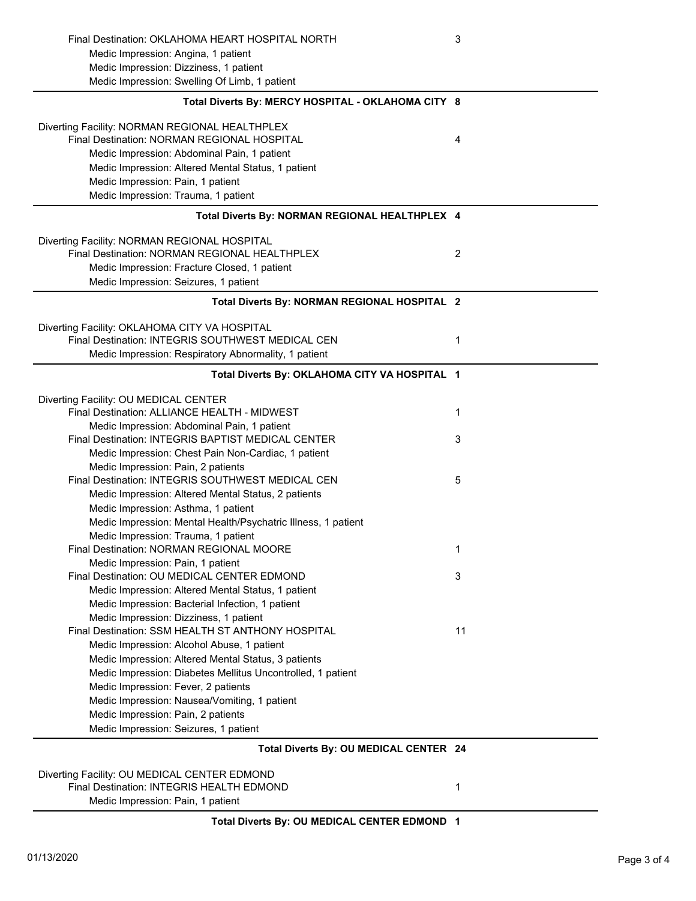| Final Destination: OKLAHOMA HEART HOSPITAL NORTH              | 3              |
|---------------------------------------------------------------|----------------|
| Medic Impression: Angina, 1 patient                           |                |
| Medic Impression: Dizziness, 1 patient                        |                |
| Medic Impression: Swelling Of Limb, 1 patient                 |                |
| Total Diverts By: MERCY HOSPITAL - OKLAHOMA CITY 8            |                |
| Diverting Facility: NORMAN REGIONAL HEALTHPLEX                |                |
| Final Destination: NORMAN REGIONAL HOSPITAL                   | 4              |
| Medic Impression: Abdominal Pain, 1 patient                   |                |
| Medic Impression: Altered Mental Status, 1 patient            |                |
| Medic Impression: Pain, 1 patient                             |                |
| Medic Impression: Trauma, 1 patient                           |                |
| Total Diverts By: NORMAN REGIONAL HEALTHPLEX 4                |                |
| Diverting Facility: NORMAN REGIONAL HOSPITAL                  |                |
| Final Destination: NORMAN REGIONAL HEALTHPLEX                 | $\overline{2}$ |
| Medic Impression: Fracture Closed, 1 patient                  |                |
| Medic Impression: Seizures, 1 patient                         |                |
|                                                               |                |
| Total Diverts By: NORMAN REGIONAL HOSPITAL 2                  |                |
| Diverting Facility: OKLAHOMA CITY VA HOSPITAL                 |                |
| Final Destination: INTEGRIS SOUTHWEST MEDICAL CEN             | 1              |
| Medic Impression: Respiratory Abnormality, 1 patient          |                |
| Total Diverts By: OKLAHOMA CITY VA HOSPITAL 1                 |                |
| Diverting Facility: OU MEDICAL CENTER                         |                |
| Final Destination: ALLIANCE HEALTH - MIDWEST                  | 1              |
| Medic Impression: Abdominal Pain, 1 patient                   |                |
| Final Destination: INTEGRIS BAPTIST MEDICAL CENTER            | 3              |
| Medic Impression: Chest Pain Non-Cardiac, 1 patient           |                |
| Medic Impression: Pain, 2 patients                            |                |
| Final Destination: INTEGRIS SOUTHWEST MEDICAL CEN             | 5              |
| Medic Impression: Altered Mental Status, 2 patients           |                |
| Medic Impression: Asthma, 1 patient                           |                |
| Medic Impression: Mental Health/Psychatric Illness, 1 patient |                |
| Medic Impression: Trauma, 1 patient                           |                |
| Final Destination: NORMAN REGIONAL MOORE                      | 1              |
| Medic Impression: Pain, 1 patient                             |                |
| Final Destination: OU MEDICAL CENTER EDMOND                   | 3              |
| Medic Impression: Altered Mental Status, 1 patient            |                |
| Medic Impression: Bacterial Infection, 1 patient              |                |
| Medic Impression: Dizziness, 1 patient                        |                |
| Final Destination: SSM HEALTH ST ANTHONY HOSPITAL             | 11             |
| Medic Impression: Alcohol Abuse, 1 patient                    |                |
| Medic Impression: Altered Mental Status, 3 patients           |                |
| Medic Impression: Diabetes Mellitus Uncontrolled, 1 patient   |                |
| Medic Impression: Fever, 2 patients                           |                |
| Medic Impression: Nausea/Vomiting, 1 patient                  |                |
| Medic Impression: Pain, 2 patients                            |                |
| Medic Impression: Seizures, 1 patient                         |                |
| Total Diverts By: OU MEDICAL CENTER 24                        |                |

## Diverting Facility: OU MEDICAL CENTER EDMOND Final Destination: INTEGRIS HEALTH EDMOND 1

Medic Impression: Pain, 1 patient

**Total Diverts By: OU MEDICAL CENTER EDMOND 1**